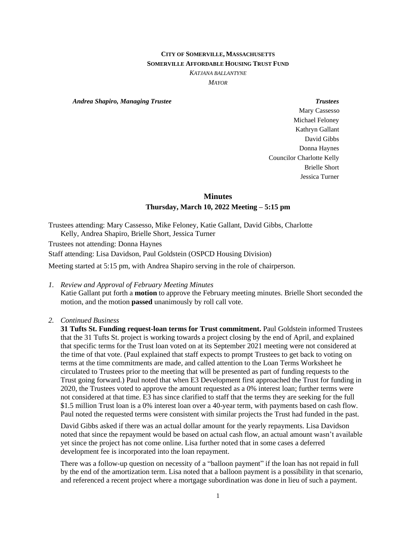# **CITY OF SOMERVILLE, MASSACHUSETTS SOMERVILLE AFFORDABLE HOUSING TRUST FUND**

*KATJANA BALLANTYNE*

*MAYOR*

*Andrea Shapiro, Managing Trustee Trustees*

Mary Cassesso Michael Feloney Kathryn Gallant David Gibbs Donna Haynes Councilor Charlotte Kelly Brielle Short Jessica Turner

# **Minutes Thursday, March 10, 2022 Meeting – 5:15 pm**

Trustees attending: Mary Cassesso, Mike Feloney, Katie Gallant, David Gibbs, Charlotte Kelly, Andrea Shapiro, Brielle Short, Jessica Turner

Trustees not attending: Donna Haynes

Staff attending: Lisa Davidson, Paul Goldstein (OSPCD Housing Division)

Meeting started at 5:15 pm, with Andrea Shapiro serving in the role of chairperson.

*1. Review and Approval of February Meeting Minutes*

Katie Gallant put forth a **motion** to approve the February meeting minutes. Brielle Short seconded the motion, and the motion **passed** unanimously by roll call vote.

## *2. Continued Business*

**31 Tufts St. Funding request-loan terms for Trust commitment.** Paul Goldstein informed Trustees that the 31 Tufts St. project is working towards a project closing by the end of April, and explained that specific terms for the Trust loan voted on at its September 2021 meeting were not considered at the time of that vote. (Paul explained that staff expects to prompt Trustees to get back to voting on terms at the time commitments are made, and called attention to the Loan Terms Worksheet he circulated to Trustees prior to the meeting that will be presented as part of funding requests to the Trust going forward.) Paul noted that when E3 Development first approached the Trust for funding in 2020, the Trustees voted to approve the amount requested as a 0% interest loan; further terms were not considered at that time. E3 has since clarified to staff that the terms they are seeking for the full \$1.5 million Trust loan is a 0% interest loan over a 40-year term, with payments based on cash flow. Paul noted the requested terms were consistent with similar projects the Trust had funded in the past.

David Gibbs asked if there was an actual dollar amount for the yearly repayments. Lisa Davidson noted that since the repayment would be based on actual cash flow, an actual amount wasn't available yet since the project has not come online. Lisa further noted that in some cases a deferred development fee is incorporated into the loan repayment.

There was a follow-up question on necessity of a "balloon payment" if the loan has not repaid in full by the end of the amortization term. Lisa noted that a balloon payment is a possibility in that scenario, and referenced a recent project where a mortgage subordination was done in lieu of such a payment.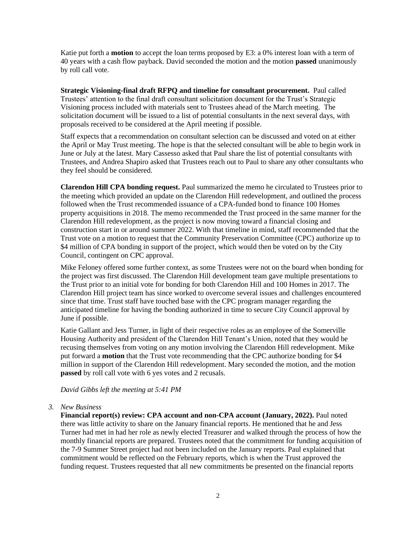Katie put forth a **motion** to accept the loan terms proposed by E3: a 0% interest loan with a term of 40 years with a cash flow payback. David seconded the motion and the motion **passed** unanimously by roll call vote.

**Strategic Visioning-final draft RFPQ and timeline for consultant procurement.** Paul called Trustees' attention to the final draft consultant solicitation document for the Trust's Strategic Visioning process included with materials sent to Trustees ahead of the March meeting. The solicitation document will be issued to a list of potential consultants in the next several days, with proposals received to be considered at the April meeting if possible.

Staff expects that a recommendation on consultant selection can be discussed and voted on at either the April or May Trust meeting. The hope is that the selected consultant will be able to begin work in June or July at the latest. Mary Cassesso asked that Paul share the list of potential consultants with Trustees, and Andrea Shapiro asked that Trustees reach out to Paul to share any other consultants who they feel should be considered.

**Clarendon Hill CPA bonding request.** Paul summarized the memo he circulated to Trustees prior to the meeting which provided an update on the Clarendon Hill redevelopment, and outlined the process followed when the Trust recommended issuance of a CPA-funded bond to finance 100 Homes property acquisitions in 2018. The memo recommended the Trust proceed in the same manner for the Clarendon Hill redevelopment, as the project is now moving toward a financial closing and construction start in or around summer 2022. With that timeline in mind, staff recommended that the Trust vote on a motion to request that the Community Preservation Committee (CPC) authorize up to \$4 million of CPA bonding in support of the project, which would then be voted on by the City Council, contingent on CPC approval.

Mike Feloney offered some further context, as some Trustees were not on the board when bonding for the project was first discussed. The Clarendon Hill development team gave multiple presentations to the Trust prior to an initial vote for bonding for both Clarendon Hill and 100 Homes in 2017. The Clarendon Hill project team has since worked to overcome several issues and challenges encountered since that time. Trust staff have touched base with the CPC program manager regarding the anticipated timeline for having the bonding authorized in time to secure City Council approval by June if possible.

Katie Gallant and Jess Turner, in light of their respective roles as an employee of the Somerville Housing Authority and president of the Clarendon Hill Tenant's Union, noted that they would be recusing themselves from voting on any motion involving the Clarendon Hill redevelopment. Mike put forward a **motion** that the Trust vote recommending that the CPC authorize bonding for \$4 million in support of the Clarendon Hill redevelopment. Mary seconded the motion, and the motion **passed** by roll call vote with 6 yes votes and 2 recusals.

*David Gibbs left the meeting at 5:41 PM* 

#### *3. New Business*

**Financial report(s) review: CPA account and non-CPA account (January, 2022).** Paul noted there was little activity to share on the January financial reports. He mentioned that he and Jess Turner had met in had her role as newly elected Treasurer and walked through the process of how the monthly financial reports are prepared. Trustees noted that the commitment for funding acquisition of the 7-9 Summer Street project had not been included on the January reports. Paul explained that commitment would be reflected on the February reports, which is when the Trust approved the funding request. Trustees requested that all new commitments be presented on the financial reports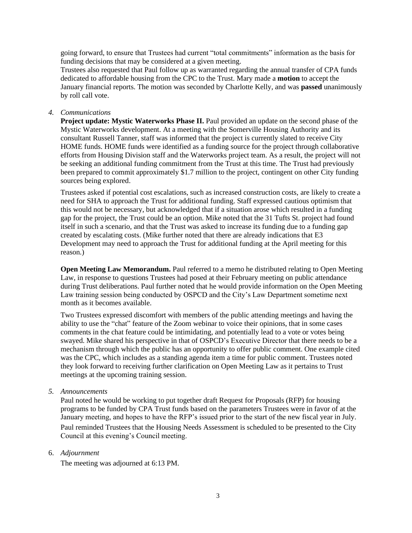going forward, to ensure that Trustees had current "total commitments" information as the basis for funding decisions that may be considered at a given meeting.

Trustees also requested that Paul follow up as warranted regarding the annual transfer of CPA funds dedicated to affordable housing from the CPC to the Trust. Mary made a **motion** to accept the January financial reports. The motion was seconded by Charlotte Kelly, and was **passed** unanimously by roll call vote.

### *4. Communications*

**Project update: Mystic Waterworks Phase II.** Paul provided an update on the second phase of the Mystic Waterworks development. At a meeting with the Somerville Housing Authority and its consultant Russell Tanner, staff was informed that the project is currently slated to receive City HOME funds. HOME funds were identified as a funding source for the project through collaborative efforts from Housing Division staff and the Waterworks project team. As a result, the project will not be seeking an additional funding commitment from the Trust at this time. The Trust had previously been prepared to commit approximately \$1.7 million to the project, contingent on other City funding sources being explored.

Trustees asked if potential cost escalations, such as increased construction costs, are likely to create a need for SHA to approach the Trust for additional funding. Staff expressed cautious optimism that this would not be necessary, but acknowledged that if a situation arose which resulted in a funding gap for the project, the Trust could be an option. Mike noted that the 31 Tufts St. project had found itself in such a scenario, and that the Trust was asked to increase its funding due to a funding gap created by escalating costs. (Mike further noted that there are already indications that E3 Development may need to approach the Trust for additional funding at the April meeting for this reason.)

**Open Meeting Law Memorandum.** Paul referred to a memo he distributed relating to Open Meeting Law, in response to questions Trustees had posed at their February meeting on public attendance during Trust deliberations. Paul further noted that he would provide information on the Open Meeting Law training session being conducted by OSPCD and the City's Law Department sometime next month as it becomes available.

Two Trustees expressed discomfort with members of the public attending meetings and having the ability to use the "chat" feature of the Zoom webinar to voice their opinions, that in some cases comments in the chat feature could be intimidating, and potentially lead to a vote or votes being swayed. Mike shared his perspective in that of OSPCD's Executive Director that there needs to be a mechanism through which the public has an opportunity to offer public comment. One example cited was the CPC, which includes as a standing agenda item a time for public comment. Trustees noted they look forward to receiving further clarification on Open Meeting Law as it pertains to Trust meetings at the upcoming training session.

#### *5. Announcements*

Paul noted he would be working to put together draft Request for Proposals (RFP) for housing programs to be funded by CPA Trust funds based on the parameters Trustees were in favor of at the January meeting, and hopes to have the RFP's issued prior to the start of the new fiscal year in July. Paul reminded Trustees that the Housing Needs Assessment is scheduled to be presented to the City Council at this evening's Council meeting.

#### 6. *Adjournment*

The meeting was adjourned at 6:13 PM.